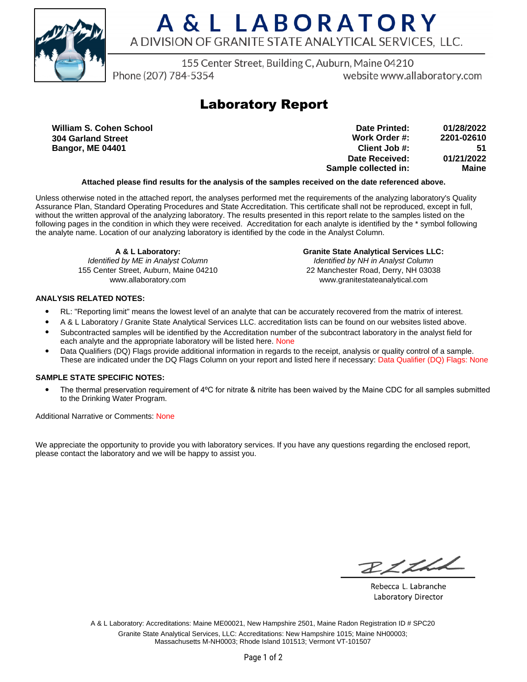

# A & L LABORATORY A DIVISION OF GRANITE STATE ANALYTICAL SERVICES. LLC.

155 Center Street, Building C, Auburn, Maine 04210

Phone (207) 784-5354

website www.allaboratory.com

## **Laboratory Report**

**William S. Cohen School 304 Garland Street Bangor, ME 04401**

| Date Printed:        | 01/28/2022 |
|----------------------|------------|
| Work Order #:        | 2201-02610 |
| Client Job #:        | 51         |
| Date Received:       | 01/21/2022 |
| Sample collected in: | Maine      |

### **Attached please find results for the analysis of the samples received on the date referenced above.**

Unless otherwise noted in the attached report, the analyses performed met the requirements of the analyzing laboratory's Quality Assurance Plan, Standard Operating Procedures and State Accreditation. This certificate shall not be reproduced, except in full, without the written approval of the analyzing laboratory. The results presented in this report relate to the samples listed on the following pages in the condition in which they were received. Accreditation for each analyte is identified by the \* symbol following the analyte name. Location of our analyzing laboratory is identified by the code in the Analyst Column.

**A & L Laboratory:** Identified by ME in Analyst Column 155 Center Street, Auburn, Maine 04210 www.allaboratory.com

**Granite State Analytical Services LLC:** Identified by NH in Analyst Column 22 Manchester Road, Derry, NH 03038 www.granitestateanalytical.com

### **ANALYSIS RELATED NOTES:**

- RL: "Reporting limit" means the lowest level of an analyte that can be accurately recovered from the matrix of interest.
- A & L Laboratory / Granite State Analytical Services LLC. accreditation lists can be found on our websites listed above.
- Subcontracted samples will be identified by the Accreditation number of the subcontract laboratory in the analyst field for each analyte and the appropriate laboratory will be listed here. None
- Data Qualifiers (DQ) Flags provide additional information in regards to the receipt, analysis or quality control of a sample. These are indicated under the DQ Flags Column on your report and listed here if necessary: Data Qualifier (DQ) Flags: None

### **SAMPLE STATE SPECIFIC NOTES:**

• The thermal preservation requirement of 4°C for nitrate & nitrite has been waived by the Maine CDC for all samples submitted to the Drinking Water Program.

Additional Narrative or Comments: None

We appreciate the opportunity to provide you with laboratory services. If you have any questions regarding the enclosed report, please contact the laboratory and we will be happy to assist you.

RICH

Rebecca L. Labranche Laboratory Director

A & L Laboratory: Accreditations: Maine ME00021, New Hampshire 2501, Maine Radon Registration ID # SPC20 Granite State Analytical Services, LLC: Accreditations: New Hampshire 1015; Maine NH00003; Massachusetts M-NH0003; Rhode Island 101513; Vermont VT-101507